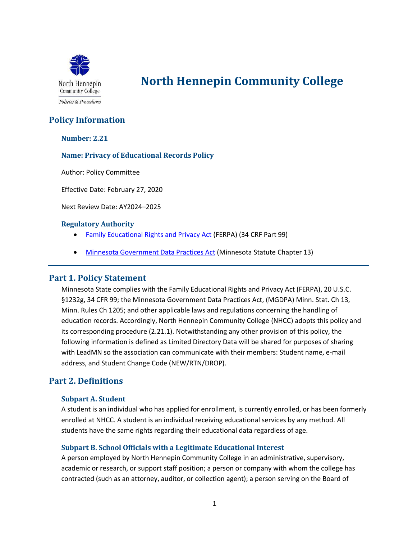

# **North Hennepin Community College**

# **Policy Information**

#### **Number: 2.21**

#### **Name: Privacy of Educational Records Policy**

Author: Policy Committee

Effective Date: February 27, 2020

Next Review Date: AY2024–2025

#### **Regulatory Authority**

- [Family Educational Rights and Privacy Act](http://www.ecfr.gov/cgi-bin/retrieveECFR?gp=&SID=a39ee42947ff5abae00d02766b235b70&mc=true&n=pt34.1.99&r=PART&ty=HTML) (FERPA) (34 CRF Part 99)
- [Minnesota Government Data Practices Act](https://www.revisor.mn.gov/statutes/?id=13) (Minnesota Statute Chapter 13)

## **Part 1. Policy Statement**

Minnesota State complies with the Family Educational Rights and Privacy Act (FERPA), 20 U.S.C. §1232g, 34 CFR 99; the Minnesota Government Data Practices Act, (MGDPA) Minn. Stat. Ch 13, Minn. Rules Ch 1205; and other applicable laws and regulations concerning the handling of education records. Accordingly, North Hennepin Community College (NHCC) adopts this policy and its corresponding procedure (2.21.1). Notwithstanding any other provision of this policy, the following information is defined as Limited Directory Data will be shared for purposes of sharing with LeadMN so the association can communicate with their members: Student name, e-mail address, and Student Change Code (NEW/RTN/DROP).

# **Part 2. Definitions**

#### **Subpart A. Student**

A student is an individual who has applied for enrollment, is currently enrolled, or has been formerly enrolled at NHCC. A student is an individual receiving educational services by any method. All students have the same rights regarding their educational data regardless of age.

## **Subpart B. School Officials with a Legitimate Educational Interest**

A person employed by North Hennepin Community College in an administrative, supervisory, academic or research, or support staff position; a person or company with whom the college has contracted (such as an attorney, auditor, or collection agent); a person serving on the Board of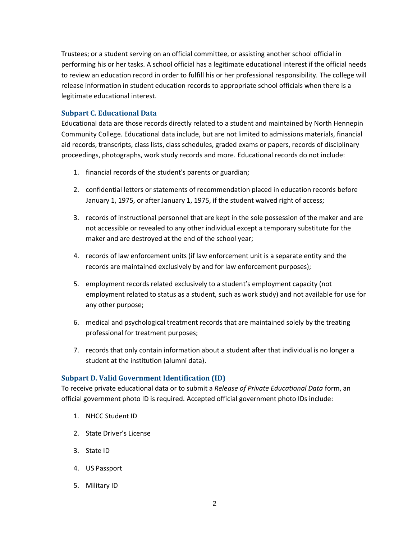Trustees; or a student serving on an official committee, or assisting another school official in performing his or her tasks. A school official has a legitimate educational interest if the official needs to review an education record in order to fulfill his or her professional responsibility. The college will release information in student education records to appropriate school officials when there is a legitimate educational interest.

#### **Subpart C. Educational Data**

Educational data are those records directly related to a student and maintained by North Hennepin Community College. Educational data include, but are not limited to admissions materials, financial aid records, transcripts, class lists, class schedules, graded exams or papers, records of disciplinary proceedings, photographs, work study records and more. Educational records do not include:

- 1. financial records of the student's parents or guardian;
- 2. confidential letters or statements of recommendation placed in education records before January 1, 1975, or after January 1, 1975, if the student waived right of access;
- 3. records of instructional personnel that are kept in the sole possession of the maker and are not accessible or revealed to any other individual except a temporary substitute for the maker and are destroyed at the end of the school year;
- 4. records of law enforcement units (if law enforcement unit is a separate entity and the records are maintained exclusively by and for law enforcement purposes);
- 5. employment records related exclusively to a student's employment capacity (not employment related to status as a student, such as work study) and not available for use for any other purpose;
- 6. medical and psychological treatment records that are maintained solely by the treating professional for treatment purposes;
- 7. records that only contain information about a student after that individual is no longer a student at the institution (alumni data).

#### **Subpart D. Valid Government Identification (ID)**

To receive private educational data or to submit a *Release of Private Educational Data* form, an official government photo ID is required. Accepted official government photo IDs include:

- 1. NHCC Student ID
- 2. State Driver's License
- 3. State ID
- 4. US Passport
- 5. Military ID